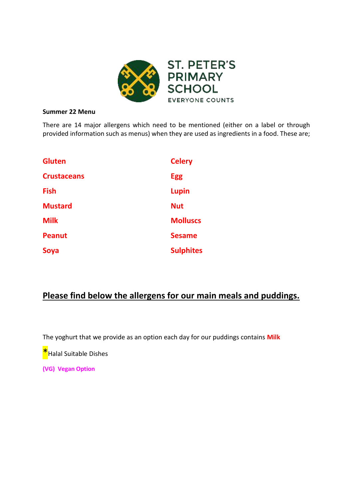

#### **Summer 22 Menu**

There are 14 major allergens which need to be mentioned (either on a label or through provided information such as menus) when they are used as ingredients in a food. These are;

| <b>Gluten</b>      | <b>Celery</b>    |
|--------------------|------------------|
| <b>Crustaceans</b> | <b>Egg</b>       |
| <b>Fish</b>        | <b>Lupin</b>     |
| <b>Mustard</b>     | <b>Nut</b>       |
| <b>Milk</b>        | <b>Molluscs</b>  |
| <b>Peanut</b>      | <b>Sesame</b>    |
| Soya               | <b>Sulphites</b> |

# **Please find below the allergens for our main meals and puddings.**

The yoghurt that we provide as an option each day for our puddings contains **Milk**

**\***Halal Suitable Dishes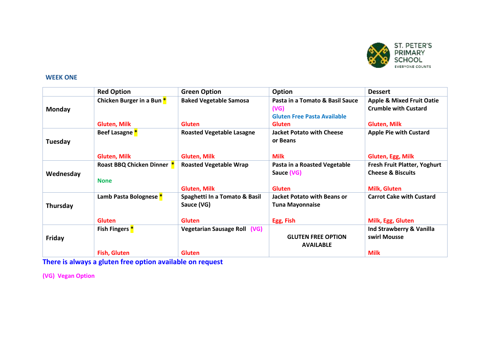

## **WEEK ONE**

|               | <b>Red Option</b>          | <b>Green Option</b>                         | Option                                                                        | <b>Dessert</b>                                                      |
|---------------|----------------------------|---------------------------------------------|-------------------------------------------------------------------------------|---------------------------------------------------------------------|
| <b>Monday</b> | Chicken Burger in a Bun *  | <b>Baked Vegetable Samosa</b>               | Pasta in a Tomato & Basil Sauce<br>(VG)<br><b>Gluten Free Pasta Available</b> | <b>Apple &amp; Mixed Fruit Oatie</b><br><b>Crumble with Custard</b> |
|               | <b>Gluten, Milk</b>        | <b>Gluten</b>                               | <b>Gluten</b>                                                                 | <b>Gluten, Milk</b>                                                 |
| Tuesday       | Beef Lasagne <sup>*</sup>  | <b>Roasted Vegetable Lasagne</b>            | <b>Jacket Potato with Cheese</b><br>or Beans                                  | <b>Apple Pie with Custard</b>                                       |
|               | <b>Gluten, Milk</b>        | <b>Gluten, Milk</b>                         | <b>Milk</b>                                                                   | Gluten, Egg, Milk                                                   |
| Wednesday     | Roast BBQ Chicken Dinner * | <b>Roasted Vegetable Wrap</b>               | Pasta in a Roasted Vegetable<br>Sauce (VG)                                    | <b>Fresh Fruit Platter, Yoghurt</b><br><b>Cheese &amp; Biscuits</b> |
|               | <b>None</b>                |                                             |                                                                               |                                                                     |
|               |                            | <b>Gluten, Milk</b>                         | <b>Gluten</b>                                                                 | <b>Milk, Gluten</b>                                                 |
| Thursday      | Lamb Pasta Bolognese *     | Spaghetti In a Tomato & Basil<br>Sauce (VG) | <b>Jacket Potato with Beans or</b><br><b>Tuna Mayonnaise</b>                  | <b>Carrot Cake with Custard</b>                                     |
|               | <b>Gluten</b>              | <b>Gluten</b>                               | Egg, Fish                                                                     | Milk, Egg, Gluten                                                   |
| Friday        | Fish Fingers <sup>*</sup>  | Vegetarian Sausage Roll (VG)                | <b>GLUTEN FREE OPTION</b><br><b>AVAILABLE</b>                                 | Ind Strawberry & Vanilla<br>swirl Mousse                            |
|               | <b>Fish, Gluten</b>        | <b>Gluten</b>                               |                                                                               | <b>Milk</b>                                                         |

**There is always a gluten free option available on request**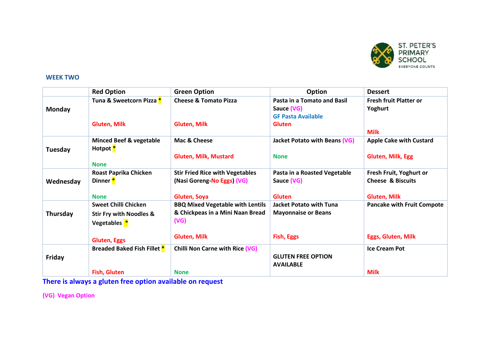

## **WEEK TWO**

|               | <b>Red Option</b>                                         | <b>Green Option</b>                     | Option                         | <b>Dessert</b>                    |
|---------------|-----------------------------------------------------------|-----------------------------------------|--------------------------------|-----------------------------------|
| <b>Monday</b> | Tuna & Sweetcorn Pizza *                                  | <b>Cheese &amp; Tomato Pizza</b>        | Pasta in a Tomato and Basil    | <b>Fresh fruit Platter or</b>     |
|               |                                                           |                                         | Sauce (VG)                     | Yoghurt                           |
|               |                                                           |                                         | <b>GF Pasta Available</b>      |                                   |
|               | <b>Gluten, Milk</b>                                       | <b>Gluten, Milk</b>                     | <b>Gluten</b>                  |                                   |
|               |                                                           |                                         |                                | <b>Milk</b>                       |
| Tuesday       | <b>Minced Beef &amp; vegetable</b><br>Hotpot <sup>*</sup> | Mac & Cheese                            | Jacket Potato with Beans (VG)  | <b>Apple Cake with Custard</b>    |
|               |                                                           | <b>Gluten, Milk, Mustard</b>            | <b>None</b>                    | <b>Gluten, Milk, Egg</b>          |
|               | <b>None</b>                                               |                                         |                                |                                   |
|               | Roast Paprika Chicken                                     | <b>Stir Fried Rice with Vegetables</b>  | Pasta in a Roasted Vegetable   | Fresh Fruit, Yoghurt or           |
| Wednesday     | Dinner <sup>*</sup>                                       | (Nasi Goreng-No Eggs) (VG)              | Sauce (VG)                     | <b>Cheese &amp; Biscuits</b>      |
|               |                                                           |                                         |                                |                                   |
|               | <b>None</b>                                               | Gluten, Soya                            | <b>Gluten</b>                  | <b>Gluten, Milk</b>               |
| Thursday      | <b>Sweet Chilli Chicken</b>                               | <b>BBQ Mixed Vegetable with Lentils</b> | <b>Jacket Potato with Tuna</b> | <b>Pancake with Fruit Compote</b> |
|               | <b>Stir Fry with Noodles &amp;</b>                        | & Chickpeas in a Mini Naan Bread        | <b>Mayonnaise or Beans</b>     |                                   |
|               | Vegetables <sup>*</sup>                                   | (VG)                                    |                                |                                   |
|               | <b>Gluten, Eggs</b>                                       | <b>Gluten, Milk</b>                     | <b>Fish, Eggs</b>              | <b>Eggs, Gluten, Milk</b>         |
|               | <b>Breaded Baked Fish Fillet *</b>                        | <b>Chilli Non Carne with Rice (VG)</b>  |                                | <b>Ice Cream Pot</b>              |
| Friday        |                                                           |                                         | <b>GLUTEN FREE OPTION</b>      |                                   |
|               |                                                           |                                         | <b>AVAILABLE</b>               |                                   |
|               | <b>Fish, Gluten</b>                                       | <b>None</b>                             |                                | <b>Milk</b>                       |

**There is always a gluten free option available on request**